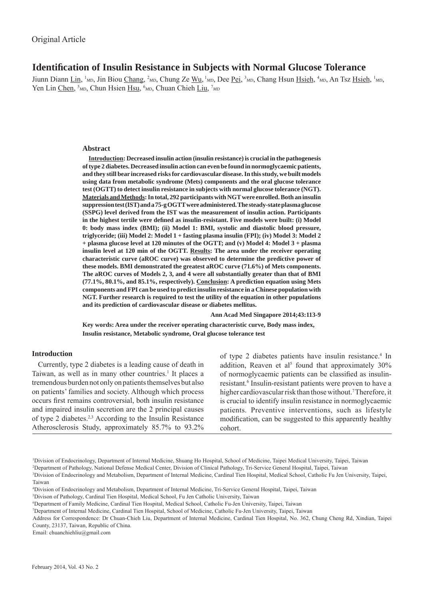# **Identification of Insulin Resistance in Subjects with Normal Glucose Tolerance**

Jiunn Diann Lin, <sup>1</sup>MD, Jin Biou Chang, <sup>2</sup>MD, Chung Ze Wu, <sup>1</sup>MD, Dee Pei, <sup>3</sup>MD, Chang Hsun Hsieh, <sup>4</sup>MD, An Tsz Hsieh, <sup>1</sup>MD, Yen Lin Chen, <sup>5</sup>MD, Chun Hsien Hsu, <sup>6</sup>MD, Chuan Chieh Liu, <sup>7</sup>MD

## **Abstract**

**Introduction: Decreased insulin action (insulin resistance) is crucial in the pathogenesis of type 2 diabetes. Decreased insulin action can even be found in normoglycaemic patients, and they still bear increased risks for cardiovascular disease. In this study, we built models using data from metabolic syndrome (Mets) components and the oral glucose tolerance test (OGTT) to detect insulin resistance in subjects with normal glucose tolerance (NGT). Materials and Methods: In total, 292 participants with NGT were enrolled. Both an insulin suppression test (IST) and a 75-g OGTT were administered. The steady-state plasma glucose (SSPG) level derived from the IST was the measurement of insulin action. Participants**  in the highest tertile were defined as insulin-resistant. Five models were built: (i) Model **0: body mass index (BMI); (ii) Model 1: BMI, systolic and diastolic blood pressure, triglyceride; (iii) Model 2: Model 1 + fasting plasma insulin (FPI); (iv) Model 3: Model 2 + plasma glucose level at 120 minutes of the OGTT; and (v) Model 4: Model 3 + plasma insulin level at 120 min of the OGTT. Results: The area under the receiver operating characteristic curve (aROC curve) was observed to determine the predictive power of these models. BMI demonstrated the greatest aROC curve (71.6%) of Mets components. The aROC curves of Models 2, 3, and 4 were all substantially greater than that of BMI (77.1%, 80.1%, and 85.1%, respectively). Conclusion: A prediction equation using Mets components and FPI can be used to predict insulin resistance in a Chinese population with NGT. Further research is required to test the utility of the equation in other populations and its prediction of cardiovascular disease or diabetes mellitus.**

 **Ann Acad Med Singapore 2014;43:113-9**

**Key words: Area under the receiver operating characteristic curve, Body mass index, Insulin resistance, Metabolic syndrome, Oral glucose tolerance test**

# **Introduction**

Currently, type 2 diabetes is a leading cause of death in Taiwan, as well as in many other countries.<sup>1</sup> It places a tremendous burden not only on patients themselves but also on patients' families and society. Although which process occurs first remains controversial, both insulin resistance and impaired insulin secretion are the 2 principal causes of type 2 diabetes.2,3 According to the Insulin Resistance Atherosclerosis Study, approximately 85.7% to 93.2%

of type 2 diabetes patients have insulin resistance.<sup>4</sup> In addition, Reaven et al<sup>5</sup> found that approximately 30% of normoglycaemic patients can be classified as insulinresistant.<sup>6</sup> Insulin-resistant patients were proven to have a higher cardiovascular risk than those without.<sup>7</sup> Therefore, it is crucial to identify insulin resistance in normoglycaemic patients. Preventive interventions, such as lifestyle modification, can be suggested to this apparently healthy cohort.

1 Division of Endocrinology, Department of Internal Medicine, Shuang Ho Hospital, School of Medicine, Taipei Medical University, Taipei, Taiwan

2 Department of Pathology, National Defense Medical Center, Division of Clinical Pathology, Tri-Service General Hospital, Taipei, Taiwan

Email: chuanchiehliu@gmail.com

<sup>3</sup> Division of Endocrinology and Metabolism, Department of Internal Medicine, Cardinal Tien Hospital, Medical School, Catholic Fu Jen University, Taipei, Taiwan

<sup>4</sup> Division of Endocrinology and Metabolism, Department of Internal Medicine, Tri-Service General Hospital, Taipei, Taiwan

<sup>5</sup> Divison of Pathology, Cardinal Tien Hospital, Medical School, Fu Jen Catholic University, Taiwan

<sup>6</sup> Department of Family Medicine, Cardinal Tien Hospital, Medical School, Catholic Fu-Jen University, Taipei, Taiwan

<sup>7</sup> Department of Internal Medicine, Cardinal Tien Hospital, School of Medicine, Catholic Fu-Jen University, Taipei, Taiwan

Address for Correspondence: Dr Chuan-Chieh Liu, Department of Internal Medicine, Cardinal Tien Hospital, No. 362, Chung Cheng Rd, Xindian, Taipei County, 23137, Taiwan, Republic of China.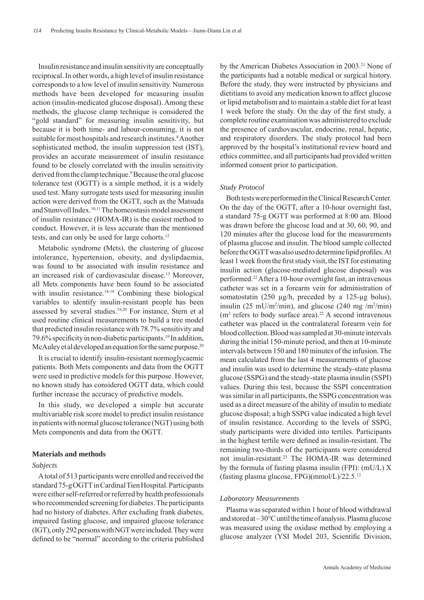Insulin resistance and insulin sensitivity are conceptually reciprocal. In other words, a high level of insulin resistance corresponds to a low level of insulin sensitivity. Numerous methods have been developed for measuring insulin action (insulin-medicated glucose disposal). Among these methods, the glucose clamp technique is considered the "gold standard" for measuring insulin sensitivity, but because it is both time- and labour-consuming, it is not suitable for most hospitals and research institutes.<sup>8</sup> Another sophisticated method, the insulin suppression test (IST), provides an accurate measurement of insulin resistance found to be closely correlated with the insulin sensitivity derived from the clamp technique.<sup>9</sup> Because the oral glucose tolerance test (OGTT) is a simple method, it is a widely used test. Many surrogate tests used for measuring insulin action were derived from the OGTT, such as the Matsuda and Stumvoll Index.<sup>10,11</sup> The homeostasis model assessment of insulin resistance (HOMA-IR) is the easiest method to conduct. However, it is less accurate than the mentioned tests, and can only be used for large cohorts.<sup>12</sup>

Metabolic syndrome (Mets), the clustering of glucose intolerance, hypertension, obesity, and dyslipdaemia, was found to be associated with insulin resistance and an increased risk of cardiovascular disease.<sup>13</sup> Moreover, all Mets components have been found to be associated with insulin resistance.<sup>14-18</sup> Combining these biological variables to identify insulin-resistant people has been assessed by several studies.19,20 For instance, Stern et al used routine clinical measurements to build a tree model that predicted insulin resistance with 78.7% sensitivity and 79.6% specificity in non-diabetic participants.<sup>19</sup> In addition, McAuley et al developed an equation for the same purpose.<sup>20</sup>

It is crucial to identify insulin-resistant normoglycaemic patients. Both Mets components and data from the OGTT were used in predictive models for this purpose. However, no known study has considered OGTT data, which could further increase the accuracy of predictive models.

In this study, we developed a simple but accurate multivariable risk score model to predict insulin resistance in patients with normal glucose tolerance (NGT) using both Mets components and data from the OGTT.

## **Materials and methods**

#### *Subjects*

A total of 513 participants were enrolled and received the standard 75-g OGTT in Cardinal Tien Hospital. Participants were either self-referred or referred by health professionals who recommended screening for diabetes. The participants had no history of diabetes. After excluding frank diabetes, impaired fasting glucose, and impaired glucose tolerance (IGT), only 292 persons with NGT were included. They were defined to be "normal" according to the criteria published

by the American Diabetes Association in 2003.<sup>21</sup> None of the participants had a notable medical or surgical history. Before the study, they were instructed by physicians and dietitians to avoid any medication known to affect glucose or lipid metabolism and to maintain a stable diet for at least 1 week before the study. On the day of the first study, a complete routine examination was administered to exclude the presence of cardiovascular, endocrine, renal, hepatic, and respiratory disorders. The study protocol had been approved by the hospital's institutional review board and ethics committee, and all participants had provided written informed consent prior to participation.

### *Study Protocol*

Both tests were performed in the Clinical Research Center. On the day of the OGTT, after a 10-hour overnight fast, a standard 75-g OGTT was performed at 8:00 am. Blood was drawn before the glucose load and at 30, 60, 90, and 120 minutes after the glucose load for the measurements of plasma glucose and insulin. The blood sample collected before the OGTT was also used to determine lipid profiles. At least 1 week from the first study visit, the IST for estimating insulin action (glucose-mediated glucose disposal) was performed.22 After a 10-hour overnight fast, an intravenous catheter was set in a forearm vein for administration of somatostatin (250 μg/h, preceded by a 125-μg bolus), insulin (25 mU/m<sup>2</sup>/min), and glucose (240 mg /m<sup>2</sup>/min)  $(m<sup>2</sup>$  refers to body surface area).<sup>22</sup> A second intravenous catheter was placed in the contralateral forearm vein for blood collection. Blood was sampled at 30-minute intervals during the initial 150-minute period, and then at 10-minute intervals between 150 and 180 minutes of the infusion. The mean calculated from the last 4 measurements of glucose and insulin was used to determine the steady-state plasma glucose (SSPG) and the steady-state plasma insulin (SSPI) values. During this test, because the SSPI concentration was similar in all participants, the SSPG concentration was used as a direct measure of the ability of insulin to mediate glucose disposal; a high SSPG value indicated a high level of insulin resistance. According to the levels of SSPG, study participants were divided into tertiles. Participants in the highest tertile were defined as insulin-resistant. The remaining two-thirds of the participants were considered not insulin-resistant.23 The HOMA-IR was determined by the formula of fasting plasma insulin (FPI): (mU/L) X (fasting plasma glucose, FPG)(mmol/L)/22.5.12

#### *Laboratory Measurements*

Plasma was separated within 1 hour of blood withdrawal and stored at – 30°C until the time of analysis. Plasma glucose was measured using the oxidase method by employing a glucose analyzer (YSI Model 203, Scientific Division,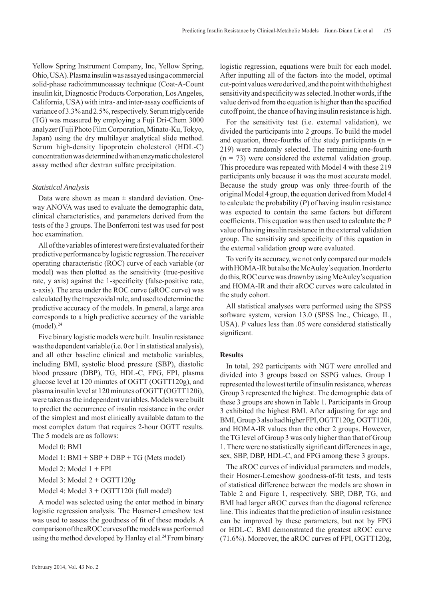Yellow Spring Instrument Company, Inc, Yellow Spring, Ohio, USA). Plasma insulin was assayed using a commercial solid-phase radioimmunoassay technique (Coat-A-Count insulin kit, Diagnostic Products Corporation, Los Angeles, California, USA) with intra- and inter-assay coefficients of variance of 3.3% and 2.5%, respectively. Serum triglyceride (TG) was measured by employing a Fuji Dri-Chem 3000 analyzer (Fuji Photo Film Corporation, Minato-Ku, Tokyo, Japan) using the dry multilayer analytical slide method. Serum high-density lipoprotein cholesterol (HDL-C) concentration was determined with an enzymatic cholesterol assay method after dextran sulfate precipitation.

## *Statistical Analysis*

Data were shown as mean  $\pm$  standard deviation. Oneway ANOVA was used to evaluate the demographic data, clinical characteristics, and parameters derived from the tests of the 3 groups. The Bonferroni test was used for post hoc examination.

All of the variables of interest were first evaluated for their predictive performance by logistic regression. The receiver operating characteristic (ROC) curve of each variable (or model) was then plotted as the sensitivity (true-positive rate, y axis) against the 1-specificity (false-positive rate, x-axis). The area under the ROC curve (aROC curve) was calculated by the trapezoidal rule, and used to determine the predictive accuracy of the models. In general, a large area corresponds to a high predictive accuracy of the variable  $(model).<sup>24</sup>$ 

Five binary logistic models were built. Insulin resistance was the dependent variable (i.e. 0 or 1 in statistical analysis), and all other baseline clinical and metabolic variables, including BMI, systolic blood pressure (SBP), diastolic blood pressure (DBP), TG, HDL-C, FPG, FPI, plasma glucose level at 120 minutes of OGTT (OGTT120g), and plasma insulin level at 120 minutes of OGTT (OGTT120i), were taken as the independent variables. Models were built to predict the occurrence of insulin resistance in the order of the simplest and most clinically available datum to the most complex datum that requires 2-hour OGTT results. The 5 models are as follows:

Model 0: BMI

Model 1: BMI + SBP + DBP + TG (Mets model)

Model 2: Model 1 + FPI

Model 3: Model 2 + OGTT120g

Model 4: Model 3 + OGTT120i (full model)

A model was selected using the enter method in binary logistic regression analysis. The Hosmer-Lemeshow test was used to assess the goodness of fit of these models. A comparison of the aROC curves of the models was performed using the method developed by Hanley et al.<sup>24</sup> From binary

logistic regression, equations were built for each model. After inputting all of the factors into the model, optimal cut-point values were derived, and the point with the highest sensitivity and specificity was selected. In other words, if the value derived from the equation is higher than the specified cutoff point, the chance of having insulin resistance is high.

For the sensitivity test (i.e. external validation), we divided the participants into 2 groups. To build the model and equation, three-fourths of the study participants ( $n =$ 219) were randomly selected. The remaining one-fourth  $(n = 73)$  were considered the external validation group. This procedure was repeated with Model 4 with these 219 participants only because it was the most accurate model. Because the study group was only three-fourth of the original Model 4 group, the equation derived from Model 4 to calculate the probability (*P*) of having insulin resistance was expected to contain the same factors but different coefficients. This equation was then used to calculate the *P* value of having insulin resistance in the external validation group. The sensitivity and specificity of this equation in the external validation group were evaluated.

To verify its accuracy, we not only compared our models with HOMA-IR but also the McAuley's equation. In order to do this, ROC curve was drawn by using McAuley's equation and HOMA-IR and their aROC curves were calculated in the study cohort.

All statistical analyses were performed using the SPSS software system, version 13.0 (SPSS Inc., Chicago, IL, USA). *P* values less than .05 were considered statistically significant.

## **Results**

In total, 292 participants with NGT were enrolled and divided into 3 groups based on SSPG values. Group 1 represented the lowest tertile of insulin resistance, whereas Group 3 represented the highest. The demographic data of these 3 groups are shown in Table 1. Participants in Group 3 exhibited the highest BMI. After adjusting for age and BMI, Group 3 also had higher FPI, OGTT120g, OGTT120i, and HOMA-IR values than the other 2 groups. However, the TG level of Group 3 was only higher than that of Group 1. There were no statistically significant differences in age, sex, SBP, DBP, HDL-C, and FPG among these 3 groups.

The aROC curves of individual parameters and models, their Hosmer-Lemeshow goodness-of-fit tests, and tests of statistical difference between the models are shown in Table 2 and Figure 1, respectively. SBP, DBP, TG, and BMI had larger aROC curves than the diagonal reference line. This indicates that the prediction of insulin resistance can be improved by these parameters, but not by FPG or HDL-C. BMI demonstrated the greatest aROC curve (71.6%). Moreover, the aROC curves of FPI, OGTT120g,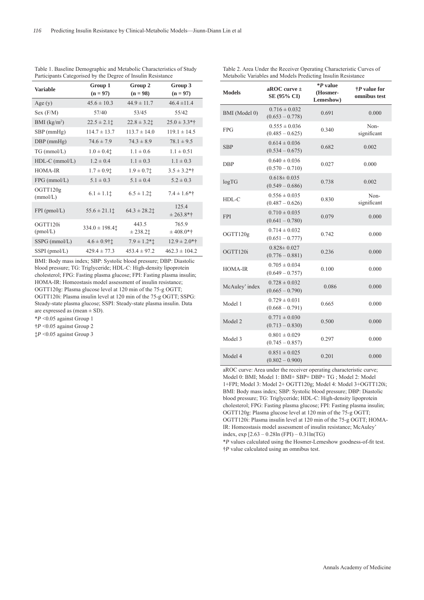| <b>Variable</b>          | Group 1<br>$(n = 97)$ | Group 2<br>$(n = 98)$ | Group 3<br>$(n = 97)$ |
|--------------------------|-----------------------|-----------------------|-----------------------|
| Age $(y)$                | $45.6 \pm 10.3$       | $44.9 \pm 11.7$       | $46.4 \pm 11.4$       |
| Sex (F/M)                | 57/40                 | 53/45                 | 55/42                 |
| BMI (kg/m <sup>2</sup> ) | $22.5 \pm 2.11$       | $22.8 \pm 3.2$        | $25.0 \pm 3.3*$ †     |
| $SBP$ (mmHg)             | $114.7 \pm 13.7$      | $113.7 \pm 14.0$      | $119.1 \pm 14.5$      |
| $DBP$ (mmHg)             | $74.6 \pm 7.9$        | $74.3 \pm 8.9$        | $78.1 \pm 9.5$        |
| $TG$ (mmol/L)            | $1.0 \pm 0.4$         | $1.1 \pm 0.6$         | $1.1 \pm 0.51$        |
| $HDL-C$ (mmol/L)         | $1.2 \pm 0.4$         | $1.1 \pm 0.3$         | $1.1 \pm 0.3$         |
| HOMA-IR                  | $1.7 \pm 0.91$        | $1.9 \pm 0.71$        | $3.5 \pm 3.2*$ †      |
| $FPG$ (mmol/L)           | $5.1 \pm 0.3$         | $5.1 \pm 0.4$         | $5.2 \pm 0.3$         |
| OGTT120g<br>(mmol/L)     | $6.1 \pm 1.1$         | $6.5 \pm 1.2$         | $7.4 \pm 1.6*$ †      |
| $FPI$ (pmol/L)           | $55.6 \pm 21.11$      | $64.3 \pm 28.2$       | 125.4<br>$± 263.8*†$  |
| OGTT120i<br>(pmol/L)     | $334.0 \pm 198.4$     | 443.5<br>$± 238.2$ t  | 765.9<br>$± 408.0*†$  |
| SSPG (mmol/L)            | $4.6 \pm 0.9$ ††      | $7.9 \pm 1.2$ *t      | $12.9 \pm 2.0$ *†     |
| SSPI (pmol/L)            | $429.4 \pm 77.3$      | $453.4 \pm 97.2$      | $462.3 \pm 104.2$     |

Table 1. Baseline Demographic and Metabolic Characteristics of Study Participants Categorised by the Degree of Insulin Resistance

BMI: Body mass index; SBP: Systolic blood pressure; DBP: Diastolic blood pressure; TG: Triglyceride; HDL-C: High-density lipoprotein cholesterol; FPG: Fasting plasma glucose; FPI: Fasting plasma insulin; HOMA-IR: Homeostasis model assessment of insulin resistance; OGTT120g: Plasma glucose level at 120 min of the 75-g OGTT; OGTT120i: Plasma insulin level at 120 min of the 75-g OGTT; SSPG: Steady-state plasma glucose; SSPI: Steady-state plasma insulin. Data are expressed as (mean  $\pm$  SD).

\**P* <0.05 against Group 1

†*P* <0.05 against Group 2

‡*P* <0.05 against Group 3

| <b>Models</b>  | aROC curve $\pm$<br>SE (95% CI)        | *P value<br>(Hosmer-<br>Lemeshow) | $\dagger P$ value for<br>omnibus test |
|----------------|----------------------------------------|-----------------------------------|---------------------------------------|
| BMI (Model 0)  | $0.716 \pm 0.032$<br>$(0.653 - 0.778)$ | 0.691                             | 0.000                                 |
| <b>FPG</b>     | $0.555 \pm 0.036$<br>$(0.485 - 0.625)$ | 0.340                             | Non-<br>significant                   |
| <b>SBP</b>     | $0.614 \pm 0.036$<br>$(0.534 - 0.675)$ | 0.682                             | 0.002                                 |
| DBP            | $0.640 \pm 0.036$<br>$(0.570 - 0.710)$ | 0.027                             | 0.000                                 |
| log TG         | $0.618 \pm 0.035$<br>$(0.549 - 0.686)$ | 0.738                             | 0.002                                 |
| HDL-C          | $0.556 \pm 0.035$<br>$(0.487 - 0.626)$ | 0.830                             | Non-<br>significant                   |
| <b>FPI</b>     | $0.710 \pm 0.035$<br>$(0.641 - 0.780)$ | 0.079                             | 0.000                                 |
| OGTT120g       | $0.714 \pm 0.032$<br>$(0.651 - 0.777)$ | 0.742                             | 0.000                                 |
| OGTT120i       | $0.828 \pm 0.027$<br>$(0.776 - 0.881)$ | 0.236                             | 0.000                                 |
| HOMA-IR        | $0.705 \pm 0.034$<br>$(0.649 - 0.757)$ | 0.100                             | 0.000                                 |
| McAuley' index | $0.728 \pm 0.032$<br>$(0.665 - 0.790)$ | 0.086                             | 0.000                                 |
| Model 1        | $0.729 \pm 0.031$<br>$(0.668 - 0.791)$ | 0.665                             | 0.000                                 |
| Model 2        | $0.771 \pm 0.030$<br>$(0.713 - 0.830)$ | 0.500                             | 0.000                                 |
| Model 3        | $0.801 \pm 0.029$<br>$(0.745 - 0.857)$ | 0.297                             | 0.000                                 |
| Model 4        | $0.851 \pm 0.025$<br>$(0.802 - 0.900)$ | 0.201                             | 0.000                                 |

aROC curve: Area under the receiver operating characteristic curve; Model 0: BMI; Model 1: BMI+ SBP+ DBP+ TG ; Model 2: Model 1+FPI; Model 3: Model 2+ OGTT120g; Model 4: Model 3+OGTT120i; BMI: Body mass index; SBP: Systolic blood pressure; DBP: Diastolic blood pressure; TG: Triglyceride; HDL-C: High-density lipoprotein cholesterol; FPG: Fasting plasma glucose; FPI: Fasting plasma insulin; OGTT120g: Plasma glucose level at 120 min of the 75-g OGTT; OGTT120i: Plasma insulin level at 120 min of the 75-g OGTT; HOMA-IR: Homeostasis model assessment of insulin resistance; McAuley' index, exp  $[2.63 - 0.28\ln(FPI) - 0.31\ln(TG)]$ 

\**P* values calculated using the Hosmer-Lemeshow goodness-of-fi t test. †*P* value calculated using an omnibus test.

Table 2. Area Under the Receiver Operating Characteristic Curves of Metabolic Variables and Models Predicting Insulin Resistance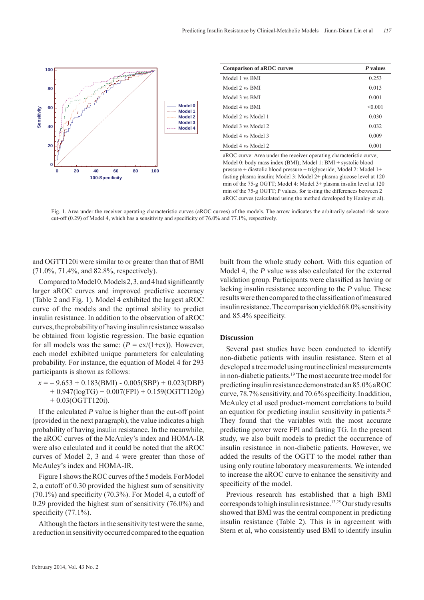

| <b>Comparison of aROC curves</b> | P values |
|----------------------------------|----------|
| Model 1 vs BMI                   | 0.253    |
| Model 2 vs BMI                   | 0.013    |
| Model 3 vs BMI                   | 0.001    |
| Model 4 vs BMI                   | < 0.001  |
| Model 2 vs Model 1               | 0.030    |
| Model 3 vs Model 2               | 0.032    |
| Model 4 vs Model 3               | 0.009    |
| Model 4 vs Model 2               | 0.001    |

aROC curve: Area under the receiver operating characteristic curve; Model 0: body mass index (BMI); Model 1: BMI + systolic blood pressure + diastolic blood pressure + triglyceride; Model 2: Model 1+ fasting plasma insulin; Model 3: Model 2+ plasma glucose level at 120 min of the 75-g OGTT; Model 4: Model 3+ plasma insulin level at 120 min of the 75-g OGTT; P values, for testing the differences between 2 aROC curves (calculated using the method developed by Hanley et al).

Fig. 1. Area under the receiver operating characteristic curves (aROC curves) of the models. The arrow indicates the arbitrarily selected risk score cut-off  $(0.29)$  of Model 4, which has a sensitivity and specificity of 76.0% and 77.1%, respectively.

and OGTT120i were similar to or greater than that of BMI (71.0%, 71.4%, and 82.8%, respectively).

Compared to Model 0, Models  $2, 3$ , and 4 had significantly larger aROC curves and improved predictive accuracy (Table 2 and Fig. 1). Model 4 exhibited the largest aROC curve of the models and the optimal ability to predict insulin resistance. In addition to the observation of aROC curves, the probability of having insulin resistance was also be obtained from logistic regression. The basic equation for all models was the same:  $(P = \text{ex}/(1+\text{ex}))$ . However, each model exhibited unique parameters for calculating probability. For instance, the equation of Model 4 for 293 participants is shown as follows:

 $x = -9.653 + 0.183(BMI) - 0.005(SBP) + 0.023(DBP)$  $+ 0.947 \left(\frac{\log TG}{+ 0.007 \left( FPI \right)} + 0.159 \left( \frac{\log TT}{20g} \right) \right)$ + 0.03(OGTT120i).

If the calculated *P* value is higher than the cut-off point (provided in the next paragraph), the value indicates a high probability of having insulin resistance. In the meanwhile, the aROC curves of the McAuley's index and HOMA-IR were also calculated and it could be noted that the aROC curves of Model 2, 3 and 4 were greater than those of McAuley's index and HOMA-IR.

Figure 1 shows the ROC curves of the 5 models. For Model 2, a cutoff of 0.30 provided the highest sum of sensitivity  $(70.1\%)$  and specificity  $(70.3\%)$ . For Model 4, a cutoff of 0.29 provided the highest sum of sensitivity (76.0%) and specificity  $(77.1\%)$ .

Although the factors in the sensitivity test were the same, a reduction in sensitivity occurred compared to the equation built from the whole study cohort. With this equation of Model 4, the *P* value was also calculated for the external validation group. Participants were classified as having or lacking insulin resistance according to the *P* value. These results were then compared to the classification of measured insulin resistance. The comparison yielded 68.0% sensitivity and 85.4% specificity.

#### **Discussion**

Several past studies have been conducted to identify non-diabetic patients with insulin resistance. Stern et al developed a tree model using routine clinical measurements in non-diabetic patients.<sup>19</sup> The most accurate tree model for predicting insulin resistance demonstrated an 85.0% aROC curve,  $78.7\%$  sensitivity, and  $70.6\%$  specificity. In addition, McAuley et al used product-moment correlations to build an equation for predicting insulin sensitivity in patients.<sup>20</sup> They found that the variables with the most accurate predicting power were FPI and fasting TG. In the present study, we also built models to predict the occurrence of insulin resistance in non-diabetic patients. However, we added the results of the OGTT to the model rather than using only routine laboratory measurements. We intended to increase the aROC curve to enhance the sensitivity and specificity of the model.

Previous research has established that a high BMI corresponds to high insulin resistance.13,25 Our study results showed that BMI was the central component in predicting insulin resistance (Table 2). This is in agreement with Stern et al, who consistently used BMI to identify insulin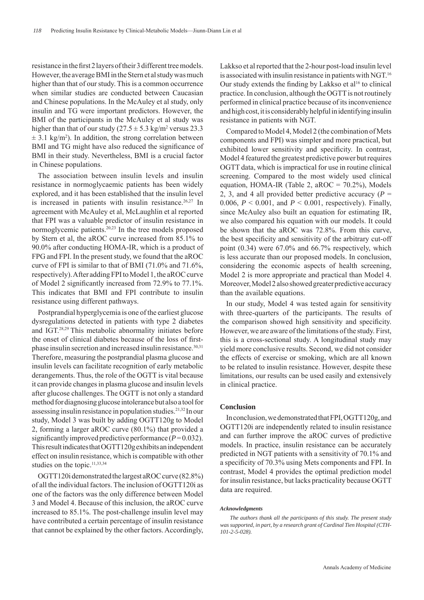resistance in the first 2 layers of their 3 different tree models. However, the average BMI in the Stern et al study was much higher than that of our study. This is a common occurrence when similar studies are conducted between Caucasian and Chinese populations. In the McAuley et al study, only insulin and TG were important predictors. However, the BMI of the participants in the McAuley et al study was higher than that of our study  $(27.5 \pm 5.3 \text{ kg/m}^2 \text{ versus } 23.3 \text{ m})$  $\pm$  3.1 kg/m<sup>2</sup>). In addition, the strong correlation between BMI and TG might have also reduced the significance of BMI in their study. Nevertheless, BMI is a crucial factor in Chinese populations.

The association between insulin levels and insulin resistance in normoglycaemic patients has been widely explored, and it has been established that the insulin level is increased in patients with insulin resistance.<sup>26,27</sup> In agreement with McAuley et al, McLaughlin et al reported that FPI was a valuable predictor of insulin resistance in normoglycemic patients.20,23 In the tree models proposed by Stern et al, the aROC curve increased from 85.1% to 90.0% after conducting HOMA-IR, which is a product of FPG and FPI. In the present study, we found that the aROC curve of FPI is similar to that of BMI (71.0% and 71.6%, respectively). After adding FPI to Model 1, the aROC curve of Model 2 significantly increased from  $72.9\%$  to  $77.1\%$ . This indicates that BMI and FPI contribute to insulin resistance using different pathways.

Postprandial hyperglycemia is one of the earliest glucose dysregulations detected in patients with type 2 diabetes and IGT.28,29 This metabolic abnormality initiates before the onset of clinical diabetes because of the loss of firstphase insulin secretion and increased insulin resistance.<sup>30,31</sup> Therefore, measuring the postprandial plasma glucose and insulin levels can facilitate recognition of early metabolic derangements. Thus, the role of the OGTT is vital because it can provide changes in plasma glucose and insulin levels after glucose challenges. The OGTT is not only a standard method for diagnosing glucose intolerance but also a tool for assessing insulin resistance in population studies.21,32 In our study, Model 3 was built by adding OGTT120g to Model 2, forming a larger aROC curve (80.1%) that provided a significantly improved predictive performance  $(P=0.032)$ . This result indicates that OGTT120g exhibits an independent effect on insulin resistance, which is compatible with other studies on the topic.<sup>11,33,34</sup>

OGTT120i demonstrated the largest aROC curve (82.8%) of all the individual factors. The inclusion of OGTT120i as one of the factors was the only difference between Model 3 and Model 4. Because of this inclusion, the aROC curve increased to 85.1%. The post-challenge insulin level may have contributed a certain percentage of insulin resistance that cannot be explained by the other factors. Accordingly,

Lakkso et al reported that the 2-hour post-load insulin level is associated with insulin resistance in patients with NGT.16 Our study extends the finding by Lakkso et al<sup>16</sup> to clinical practice. In conclusion, although the OGTT is not routinely performed in clinical practice because of its inconvenience and high cost, it is considerably helpful in identifying insulin resistance in patients with NGT.

Compared to Model 4, Model 2 (the combination of Mets components and FPI) was simpler and more practical, but exhibited lower sensitivity and specificity. In contrast, Model 4 featured the greatest predictive power but requires OGTT data, which is impractical for use in routine clinical screening. Compared to the most widely used clinical equation, HOMA-IR (Table 2,  $aROC = 70.2\%$ ), Models 2, 3, and 4 all provided better predictive accuracy  $(P =$ 0.006,  $P < 0.001$ , and  $P < 0.001$ , respectively). Finally, since McAuley also built an equation for estimating IR, we also compared his equation with our models. It could be shown that the aROC was 72.8%. From this curve, the best specificity and sensitivity of the arbitrary cut-off point (0.34) were 67.0% and 66.7% respectively, which is less accurate than our proposed models. In conclusion, considering the economic aspects of health screening, Model 2 is more appropriate and practical than Model 4. Moreover, Model 2 also showed greater predictive accuracy than the available equations.

In our study, Model 4 was tested again for sensitivity with three-quarters of the participants. The results of the comparison showed high sensitivity and specificity. However, we are aware of the limitations of the study. First, this is a cross-sectional study. A longitudinal study may yield more conclusive results. Second, we did not consider the effects of exercise or smoking, which are all known to be related to insulin resistance. However, despite these limitations, our results can be used easily and extensively in clinical practice.

# **Conclusion**

In conclusion, we demonstrated that FPI, OGTT120g, and OGTT120i are independently related to insulin resistance and can further improve the aROC curves of predictive models. In practice, insulin resistance can be accurately predicted in NGT patients with a sensitivity of 70.1% and a specificity of 70.3% using Mets components and FPI. In contrast, Model 4 provides the optimal prediction model for insulin resistance, but lacks practicality because OGTT data are required.

#### *Acknowledgments*

*The authors thank all the participants of this study. The present study was supported, in part, by a research grant of Cardinal Tien Hospital (CTH-101-2-5-028).*